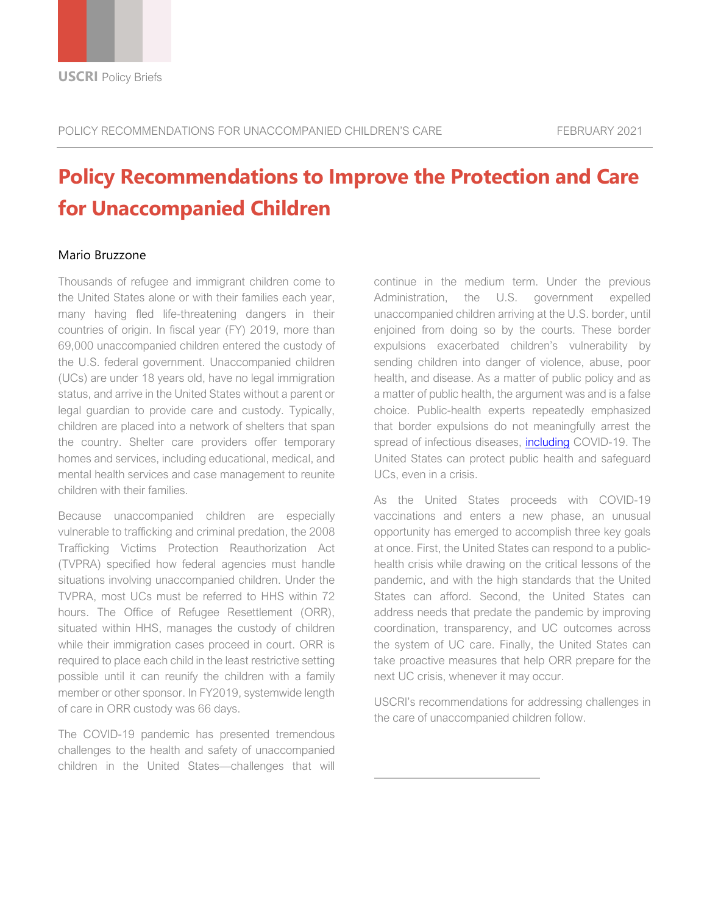# **Policy Recommendations to Improve the Protection and Care for Unaccompanied Children**

#### Mario Bruzzone

Thousands of refugee and immigrant children come to the United States alone or with their families each year, many having fled life-threatening dangers in their countries of origin. In fiscal year (FY) 2019, more than 69,000 unaccompanied children entered the custody of the U.S. federal government. Unaccompanied children (UCs) are under 18 years old, have no legal immigration status, and arrive in the United States without a parent or legal guardian to provide care and custody. Typically, children are placed into a network of shelters that span the country. Shelter care providers offer temporary homes and services, including educational, medical, and mental health services and case management to reunite children with their families.

Because unaccompanied children are especially vulnerable to trafficking and criminal predation, the 2008 Trafficking Victims Protection Reauthorization Act (TVPRA) specified how federal agencies must handle situations involving unaccompanied children. Under the TVPRA, most UCs must be referred to HHS within 72 hours. The Office of Refugee Resettlement (ORR), situated within HHS, manages the custody of children while their immigration cases proceed in court. ORR is required to place each child in the least restrictive setting possible until it can reunify the children with a family member or other sponsor. In FY2019, systemwide length of care in ORR custody was 66 days.

The COVID-19 pandemic has presented tremendous challenges to the health and safety of unaccompanied children in the United States—challenges that will continue in the medium term. Under the previous Administration, the U.S. government expelled unaccompanied children arriving at the U.S. border, until enjoined from doing so by the courts. These border expulsions exacerbated children's vulnerability by sending children into danger of violence, abuse, poor health, and disease. As a matter of public policy and as a matter of public health, the argument was and is a false choice. Public-health experts repeatedly emphasized that border expulsions do not meaningfully arrest the spread of infectious diseases, including COVID-19. The United States can protect public health and safeguard UCs, even in a crisis.

As the United States proceeds with COVID-19 vaccinations and enters a new phase, an unusual opportunity has emerged to accomplish three key goals at once. First, the United States can respond to a publichealth crisis while drawing on the critical lessons of the pandemic, and with the high standards that the United States can afford. Second, the United States can address needs that predate the pandemic by improving coordination, transparency, and UC outcomes across the system of UC care. Finally, the United States can take proactive measures that help ORR prepare for the next UC crisis, whenever it may occur.

USCRI's recommendations for addressing challenges in the care of unaccompanied children follow.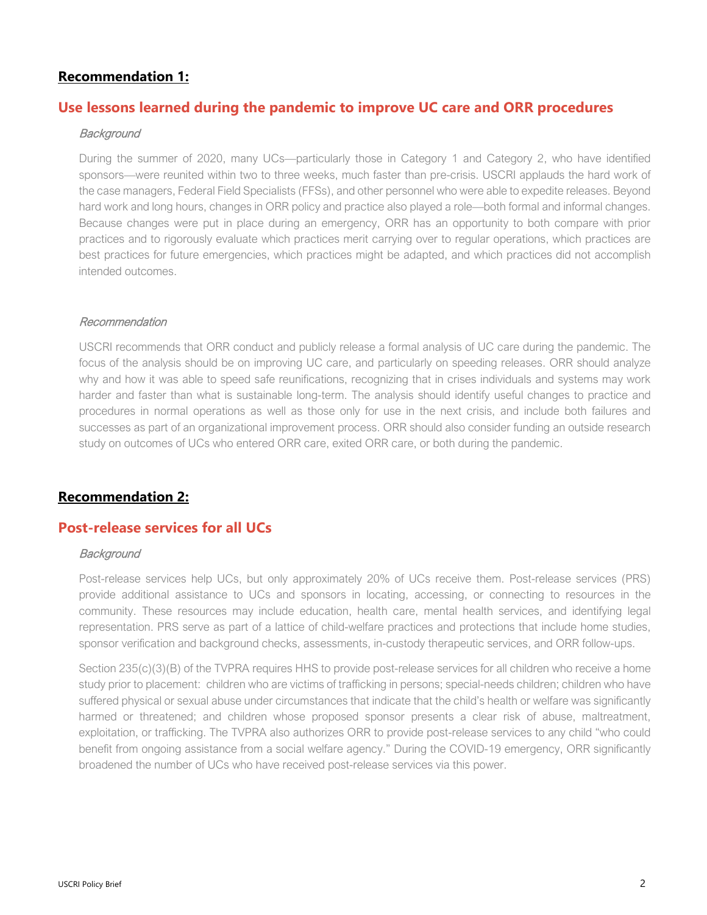## **Recommendation 1:**

## **Use lessons learned during the pandemic to improve UC care and ORR procedures**

#### **Background**

During the summer of 2020, many UCs—particularly those in Category 1 and Category 2, who have identified sponsors—were reunited within two to three weeks, much faster than pre-crisis. USCRI applauds the hard work of the case managers, Federal Field Specialists (FFSs), and other personnel who were able to expedite releases. Beyond hard work and long hours, changes in ORR policy and practice also played a role—both formal and informal changes. Because changes were put in place during an emergency, ORR has an opportunity to both compare with prior practices and to rigorously evaluate which practices merit carrying over to regular operations, which practices are best practices for future emergencies, which practices might be adapted, and which practices did not accomplish intended outcomes.

#### Recommendation

USCRI recommends that ORR conduct and publicly release a formal analysis of UC care during the pandemic. The focus of the analysis should be on improving UC care, and particularly on speeding releases. ORR should analyze why and how it was able to speed safe reunifications, recognizing that in crises individuals and systems may work harder and faster than what is sustainable long-term. The analysis should identify useful changes to practice and procedures in normal operations as well as those only for use in the next crisis, and include both failures and successes as part of an organizational improvement process. ORR should also consider funding an outside research study on outcomes of UCs who entered ORR care, exited ORR care, or both during the pandemic.

## **Recommendation 2:**

## **Post-release services for all UCs**

#### **Background**

Post-release services help UCs, but only approximately 20% of UCs receive them. Post-release services (PRS) provide additional assistance to UCs and sponsors in locating, accessing, or connecting to resources in the community. These resources may include education, health care, mental health services, and identifying legal representation. PRS serve as part of a lattice of child-welfare practices and protections that include home studies, sponsor verification and background checks, assessments, in-custody therapeutic services, and ORR follow-ups.

Section 235(c)(3)(B) of the TVPRA requires HHS to provide post-release services for all children who receive a home study prior to placement: children who are victims of trafficking in persons; special-needs children; children who have suffered physical or sexual abuse under circumstances that indicate that the child's health or welfare was significantly harmed or threatened; and children whose proposed sponsor presents a clear risk of abuse, maltreatment, exploitation, or trafficking. The TVPRA also authorizes ORR to provide post-release services to any child "who could benefit from ongoing assistance from a social welfare agency." During the COVID-19 emergency, ORR significantly broadened the number of UCs who have received post-release services via this power.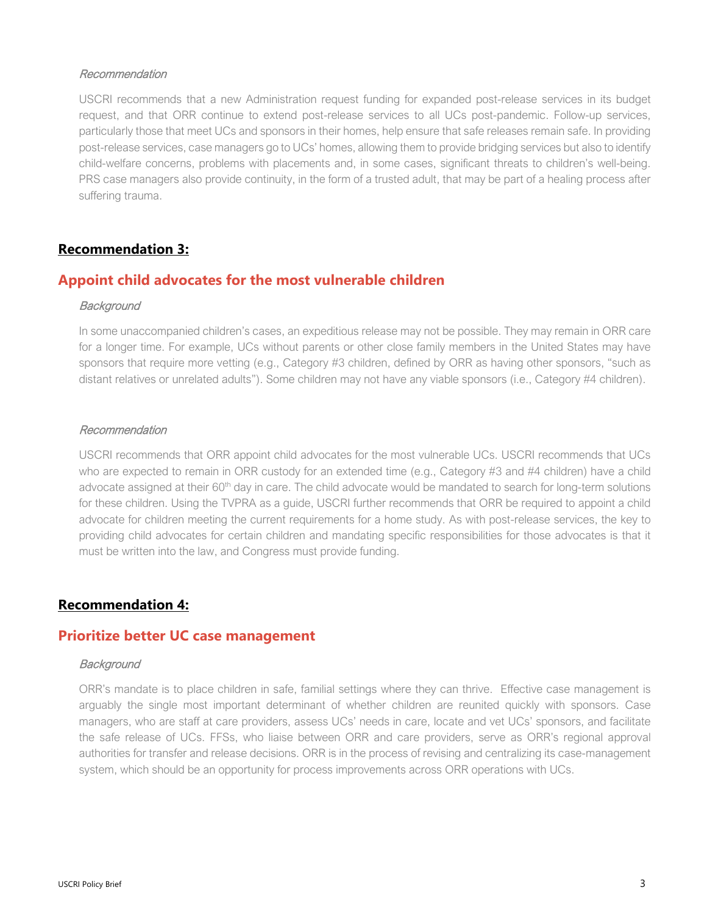#### Recommendation

USCRI recommends that a new Administration request funding for expanded post-release services in its budget request, and that ORR continue to extend post-release services to all UCs post-pandemic. Follow-up services, particularly those that meet UCs and sponsors in their homes, help ensure that safe releases remain safe. In providing post-release services, case managers go to UCs' homes, allowing them to provide bridging services but also to identify child-welfare concerns, problems with placements and, in some cases, significant threats to children's well-being. PRS case managers also provide continuity, in the form of a trusted adult, that may be part of a healing process after suffering trauma.

## **Recommendation 3:**

## **Appoint child advocates for the most vulnerable children**

#### **Background**

In some unaccompanied children's cases, an expeditious release may not be possible. They may remain in ORR care for a longer time. For example, UCs without parents or other close family members in the United States may have sponsors that require more vetting (e.g., Category #3 children, defined by ORR as having other sponsors, "such as distant relatives or unrelated adults"). Some children may not have any viable sponsors (i.e., Category #4 children).

#### Recommendation

USCRI recommends that ORR appoint child advocates for the most vulnerable UCs. USCRI recommends that UCs who are expected to remain in ORR custody for an extended time (e.g., Category #3 and #4 children) have a child advocate assigned at their 60<sup>th</sup> day in care. The child advocate would be mandated to search for long-term solutions for these children. Using the TVPRA as a guide, USCRI further recommends that ORR be required to appoint a child advocate for children meeting the current requirements for a home study. As with post-release services, the key to providing child advocates for certain children and mandating specific responsibilities for those advocates is that it must be written into the law, and Congress must provide funding.

## **Recommendation 4:**

## **Prioritize better UC case management**

#### **Background**

ORR's mandate is to place children in safe, familial settings where they can thrive. Effective case management is arguably the single most important determinant of whether children are reunited quickly with sponsors. Case managers, who are staff at care providers, assess UCs' needs in care, locate and vet UCs' sponsors, and facilitate the safe release of UCs. FFSs, who liaise between ORR and care providers, serve as ORR's regional approval authorities for transfer and release decisions. ORR is in the process of revising and centralizing its case-management system, which should be an opportunity for process improvements across ORR operations with UCs.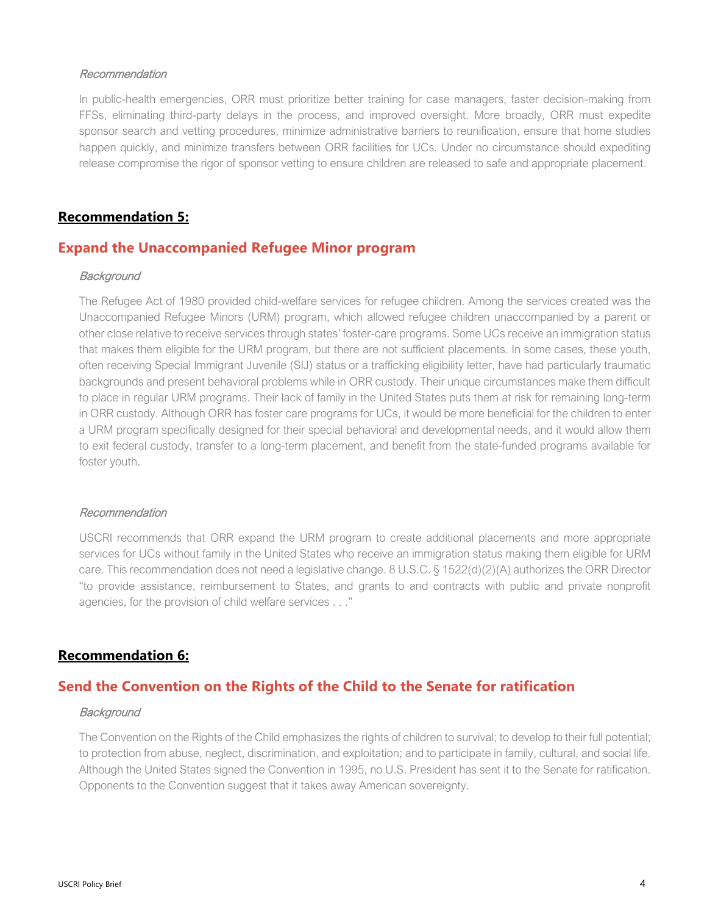#### Recommendation

In public-health emergencies, ORR must prioritize better training for case managers, faster decision-making from FFSs, eliminating third-party delays in the process, and improved oversight. More broadly, ORR must expedite sponsor search and vetting procedures, minimize administrative barriers to reunification, ensure that home studies happen quickly, and minimize transfers between ORR facilities for UCs. Under no circumstance should expediting release compromise the rigor of sponsor vetting to ensure children are released to safe and appropriate placement.

## **Recommendation 5:**

## **Expand the Unaccompanied Refugee Minor program**

#### **Background**

The Refugee Act of 1980 provided child-welfare services for refugee children. Among the services created was the Unaccompanied Refugee Minors (URM) program, which allowed refugee children unaccompanied by a parent or other close relative to receive services through states' foster-care programs. Some UCs receive an immigration status that makes them eligible for the URM program, but there are not sufficient placements. In some cases, these youth, often receiving Special Immigrant Juvenile (SIJ) status or a trafficking eligibility letter, have had particularly traumatic backgrounds and present behavioral problems while in ORR custody. Their unique circumstances make them difficult to place in regular URM programs. Their lack of family in the United States puts them at risk for remaining long-term in ORR custody. Although ORR has foster care programs for UCs, it would be more beneficial for the children to enter a URM program specifically designed for their special behavioral and developmental needs, and it would allow them to exit federal custody, transfer to a long-term placement, and benefit from the state-funded programs available for foster youth.

#### Recommendation

USCRI recommends that ORR expand the URM program to create additional placements and more appropriate services for UCs without family in the United States who receive an immigration status making them eligible for URM care. This recommendation does not need a legislative change. 8 U.S.C. § 1522(d)(2)(A) authorizes the ORR Director "to provide assistance, reimbursement to States, and grants to and contracts with public and private nonprofit agencies, for the provision of child welfare services . . ."

### **Recommendation 6:**

## **Send the Convention on the Rights of the Child to the Senate for ratification**

#### **Background**

The Convention on the Rights of the Child emphasizes the rights of children to survival; to develop to their full potential; to protection from abuse, neglect, discrimination, and exploitation; and to participate in family, cultural, and social life. Although the United States signed the Convention in 1995, no U.S. President has sent it to the Senate for ratification. Opponents to the Convention suggest that it takes away American sovereignty.